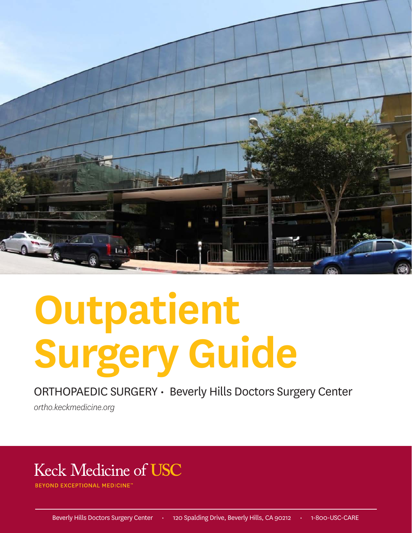

# **Outpatient Surgery Guide**

ORTHOPAEDIC SURGERY • Beverly Hills Doctors Surgery Center

*ortho.keckmedicine.org*

# **Keck Medicine of USC**

**OND EXCEPTIONAL MEDICINE**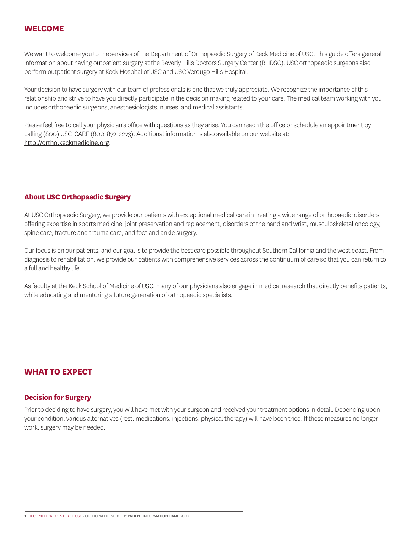## **WELCOME**

We want to welcome you to the services of the Department of Orthopaedic Surgery of Keck Medicine of USC. This guide offers general information about having outpatient surgery at the Beverly Hills Doctors Surgery Center (BHDSC). USC orthopaedic surgeons also perform outpatient surgery at Keck Hospital of USC and USC Verdugo Hills Hospital.

Your decision to have surgery with our team of professionals is one that we truly appreciate. We recognize the importance of this relationship and strive to have you directly participate in the decision making related to your care. The medical team working with you includes orthopaedic surgeons, anesthesiologists, nurses, and medical assistants.

Please feel free to call your physician's office with questions as they arise. You can reach the office or schedule an appointment by calling (800) USC-CARE (800-872-2273). Additional information is also available on our website at: http://ortho.keckmedicine.org.

## **About USC Orthopaedic Surgery**

At USC Orthopaedic Surgery, we provide our patients with exceptional medical care in treating a wide range of orthopaedic disorders offering expertise in sports medicine, joint preservation and replacement, disorders of the hand and wrist, musculoskeletal oncology, spine care, fracture and trauma care, and foot and ankle surgery.

Our focus is on our patients, and our goal is to provide the best care possible throughout Southern California and the west coast. From diagnosis to rehabilitation, we provide our patients with comprehensive services across the continuum of care so that you can return to a full and healthy life.

As faculty at the Keck School of Medicine of USC, many of our physicians also engage in medical research that directly benefits patients, while educating and mentoring a future generation of orthopaedic specialists.

# **WHAT TO EXPECT**

#### **Decision for Surgery**

Prior to deciding to have surgery, you will have met with your surgeon and received your treatment options in detail. Depending upon your condition, various alternatives (rest, medications, injections, physical therapy) will have been tried. If these measures no longer work, surgery may be needed.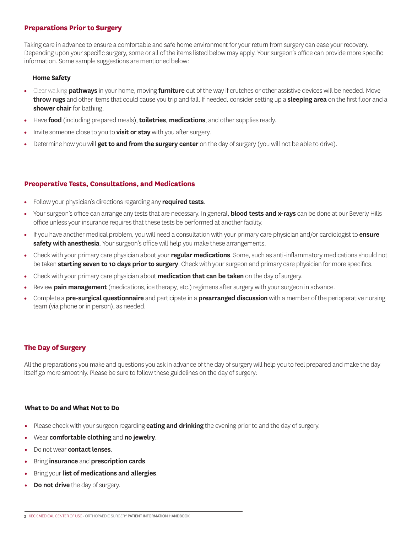#### **Preparations Prior to Surgery**

Taking care in advance to ensure a comfortable and safe home environment for your return from surgery can ease your recovery. Depending upon your specific surgery, some or all of the items listed below may apply. Your surgeon's office can provide more specific information. Some sample suggestions are mentioned below:

#### **Home Safety**

- Clear walking **pathways** in your home, moving **furniture** out of the way if crutches or other assistive devices will be needed. Move **throw rugs** and other items that could cause you trip and fall. If needed, consider setting up a **sleeping area** on the first floor and a **shower chair** for bathing.
- Have **food** (including prepared meals), **toiletries**, **medications**, and other supplies ready.
- Invite someone close to you to **visit or stay** with you after surgery.
- Determine how you will **get to and from the surgery center** on the day of surgery (you will not be able to drive).

# **Preoperative Tests, Consultations, and Medications**

- Follow your physician's directions regarding any **required tests**.
- Your surgeon's office can arrange any tests that are necessary. In general, **blood tests and x-rays** can be done at our Beverly Hills office unless your insurance requires that these tests be performed at another facility.
- If you have another medical problem, you will need a consultation with your primary care physician and/or cardiologist to **ensure safety with anesthesia**. Your surgeon's office will help you make these arrangements.
- Check with your primary care physician about your **regular medications**. Some, such as anti-inflammatory medications should not be taken **starting seven to 10 days prior to surgery**. Check with your surgeon and primary care physician for more specifics.
- Check with your primary care physician about **medication that can be taken** on the day of surgery.
- Review **pain management** (medications, ice therapy, etc.) regimens after surgery with your surgeon in advance.
- Complete a **pre-surgical questionnaire** and participate in a **prearranged discussion** with a member of the perioperative nursing team (via phone or in person), as needed.

# **The Day of Surgery**

All the preparations you make and questions you ask in advance of the day of surgery will help you to feel prepared and make the day itself go more smoothly. Please be sure to follow these guidelines on the day of surgery:

#### **What to Do and What Not to Do**

- Please check with your surgeon regarding **eating and drinking** the evening prior to and the day of surgery.
- Wear **comfortable clothing** and **no jewelry**.
- Do not wear **contact lenses**.
- Bring **insurance** and **prescription cards**.
- Bring your **list of medications and allergies**.
- **Do not drive** the day of surgery.

**<sup>3</sup>** KECK MEDICAL CENTER OF USC • ORTHOPAEDIC SURGERY PATIENT INFORMATION HANDBOOK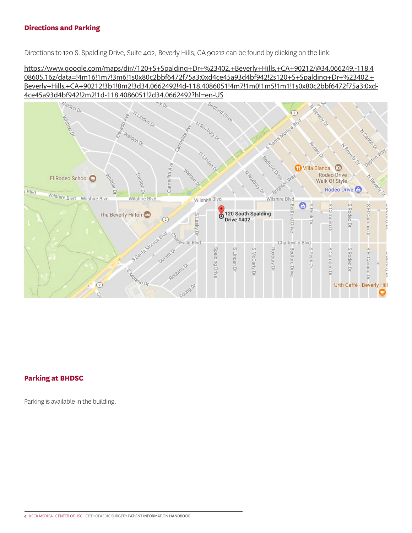## **Directions and Parking**

Directions to 120 S. Spalding Drive, Suite 402, Beverly Hills, CA 90212 can be found by clicking on the link:

https://www.google.com/maps/dir//120+S+Spalding+Dr+%23402,+Beverly+Hills,+CA+90212/@34.066249,-118.4 08605,16z/data=!4m16!1m7!3m6!1s0x80c2bbf6472f75a3:0xd4ce45a93d4bf942!2s120+S+Spalding+Dr+%23402,+ Beverly+Hills,+CA+90212!3b1!8m2!3d34.0662492!4d-118.4086051!4m7!1m0!1m5!1m1!1s0x80c2bbf6472f75a3:0xd-



# **Parking at BHDSC**

Parking is available in the building.

**4** KECK MEDICAL CENTER OF USC • ORTHOPAEDIC SURGERY PATIENT INFORMATION HANDBOOK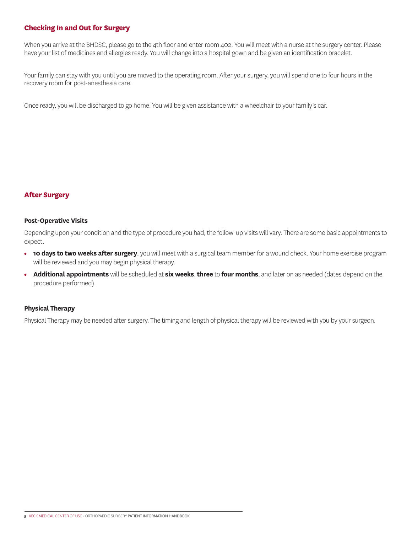# **Checking In and Out for Surgery**

When you arrive at the BHDSC, please go to the 4th floor and enter room 402. You will meet with a nurse at the surgery center. Please have your list of medicines and allergies ready. You will change into a hospital gown and be given an identification bracelet.

Your family can stay with you until you are moved to the operating room. After your surgery, you will spend one to four hours in the recovery room for post-anesthesia care.

Once ready, you will be discharged to go home. You will be given assistance with a wheelchair to your family's car.

#### **After Surgery**

#### **Post-Operative Visits**

Depending upon your condition and the type of procedure you had, the follow-up visits will vary. There are some basic appointments to expect.

- **10 days to two weeks after surgery**, you will meet with a surgical team member for a wound check. Your home exercise program will be reviewed and you may begin physical therapy.
- **Additional appointments** will be scheduled at **six weeks**, **three** to **four months**, and later on as needed (dates depend on the procedure performed).

#### **Physical Therapy**

Physical Therapy may be needed after surgery. The timing and length of physical therapy will be reviewed with you by your surgeon.